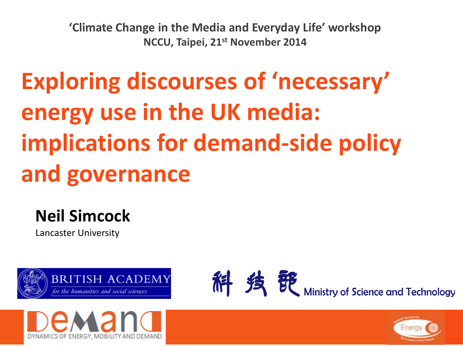**'Climate Change in the Media and Everyday Life' workshop NCCU, Taipei, 21st November 2014**

# **Exploring discourses of 'necessary' energy use in the UK media: implications for demand-side policy and governance**

### **Neil Simcock**

Lancaster University







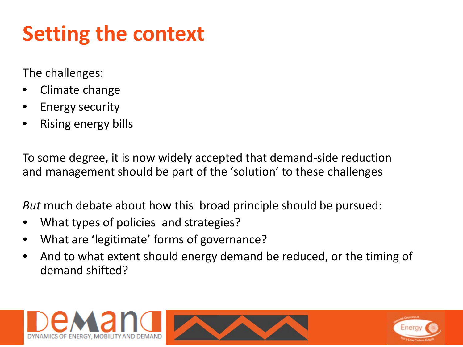### **Setting the context**

The challenges:

- Climate change
- **Energy security**
- Rising energy bills

To some degree, it is now widely accepted that demand-side reduction and management should be part of the 'solution' to these challenges

*But* much debate about how this broad principle should be pursued:

- What types of policies and strategies?
- What are 'legitimate' forms of governance?
- And to what extent should energy demand be reduced, or the timing of demand shifted?

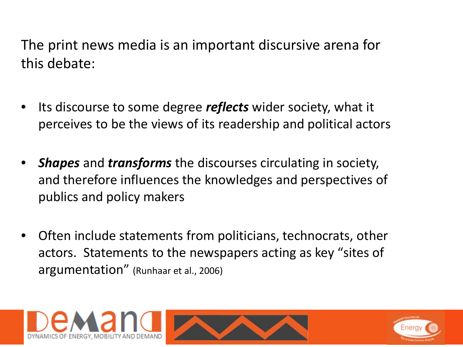The print news media is an important discursive arena for this debate:

- Its discourse to some degree *reflects* wider society, what it perceives to be the views of its readership and political actors
- *Shapes* and *transforms* the discourses circulating in society, and therefore influences the knowledges and perspectives of publics and policy makers
- Often include statements from politicians, technocrats, other actors. Statements to the newspapers acting as key "sites of argumentation" (Runhaar et al., 2006)

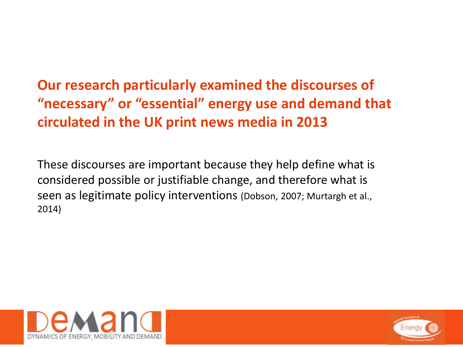### **Our research particularly examined the discourses of "necessary" or "essential" energy use and demand that circulated in the UK print news media in 2013**

These discourses are important because they help define what is considered possible or justifiable change, and therefore what is seen as legitimate policy interventions (Dobson, 2007; Murtargh et al., 2014)



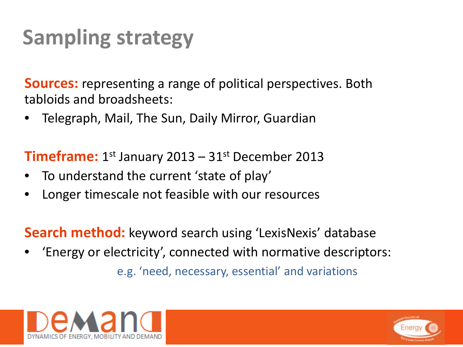### **Sampling strategy**

**Sources:** representing a range of political perspectives. Both tabloids and broadsheets:

• Telegraph, Mail, The Sun, Daily Mirror, Guardian

**Timeframe:**  $1^{st}$  January 2013 –  $31^{st}$  December 2013

- To understand the current 'state of play'
- Longer timescale not feasible with our resources

**Search method:** keyword search using 'LexisNexis' database

• 'Energy or electricity', connected with normative descriptors:

e.g. 'need, necessary, essential' and variations



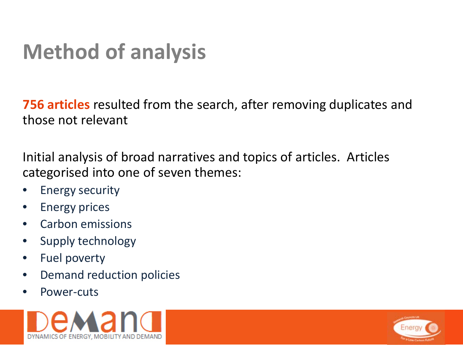### **Method of analysis**

**756 articles** resulted from the search, after removing duplicates and those not relevant

Initial analysis of broad narratives and topics of articles. Articles categorised into one of seven themes:

- Energy security
- Energy prices
- Carbon emissions
- Supply technology
- Fuel poverty
- Demand reduction policies
- Power-cuts



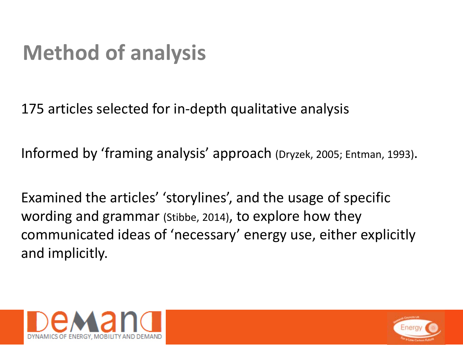### **Method of analysis**

175 articles selected for in-depth qualitative analysis

Informed by 'framing analysis' approach (Dryzek, 2005; Entman, 1993).

Examined the articles' 'storylines', and the usage of specific wording and grammar (Stibbe, 2014), to explore how they communicated ideas of 'necessary' energy use, either explicitly and implicitly.



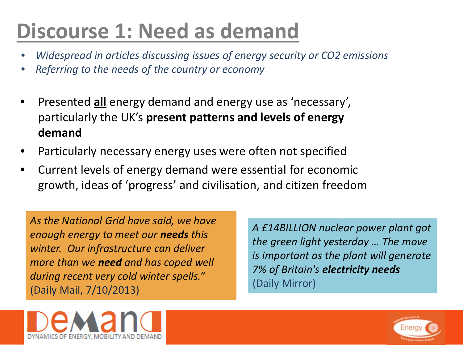### **Discourse 1: Need as demand**

- *Widespread in articles discussing issues of energy security or CO2 emissions*
- *Referring to the needs of the country or economy*
- Presented **all** energy demand and energy use as 'necessary', particularly the UK's **present patterns and levels of energy demand**
- Particularly necessary energy uses were often not specified
- Current levels of energy demand were essential for economic growth, ideas of 'progress' and civilisation, and citizen freedom

*As the National Grid have said, we have enough energy to meet our needs this winter. Our infrastructure can deliver more than we need and has coped well during recent very cold winter spells."* (Daily Mail, 7/10/2013)

*A £14BILLION nuclear power plant got the green light yesterday … The move is important as the plant will generate 7% of Britain's electricity needs* (Daily Mirror)



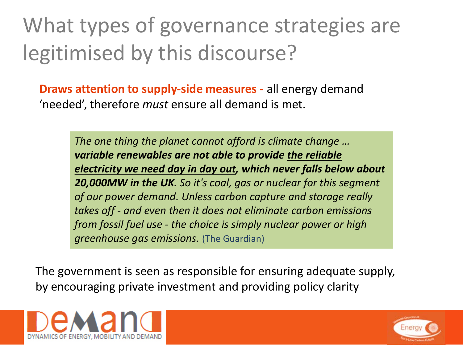### What types of governance strategies are legitimised by this discourse?

**Draws attention to supply-side measures -** all energy demand 'needed', therefore *must* ensure all demand is met.

> *The one thing the planet cannot afford is climate change … variable renewables are not able to provide the reliable electricity we need day in day out, which never falls below about 20,000MW in the UK. So it's coal, gas or nuclear for this segment of our power demand. Unless carbon capture and storage really takes off - and even then it does not eliminate carbon emissions from fossil fuel use - the choice is simply nuclear power or high greenhouse gas emissions.* (The Guardian)

The government is seen as responsible for ensuring adequate supply, by encouraging private investment and providing policy clarity



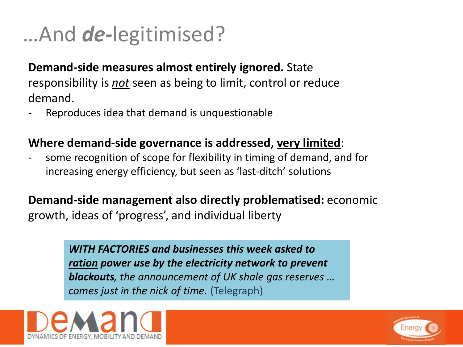### …And *de-*legitimised?

**Demand-side measures almost entirely ignored.** State responsibility is *not* seen as being to limit, control or reduce demand.

Reproduces idea that demand is unquestionable

#### **Where demand-side governance is addressed, very limited**:

some recognition of scope for flexibility in timing of demand, and for increasing energy efficiency, but seen as 'last-ditch' solutions

**Demand-side management also directly problematised:** economic growth, ideas of 'progress', and individual liberty

> *WITH FACTORIES and businesses this week asked to ration power use by the electricity network to prevent blackouts, the announcement of UK shale gas reserves … comes just in the nick of time.* (Telegraph)



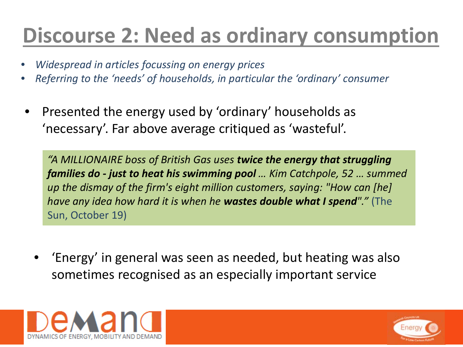### **Discourse 2: Need as ordinary consumption**

- *Widespread in articles focussing on energy prices*
- *Referring to the 'needs' of households, in particular the 'ordinary' consumer*
- Presented the energy used by 'ordinary' households as 'necessary'. Far above average critiqued as 'wasteful'.

*"A MILLIONAIRE boss of British Gas uses twice the energy that struggling families do - just to heat his swimming pool … Kim Catchpole, 52 … summed up the dismay of the firm's eight million customers, saying: "How can [he] have any idea how hard it is when he wastes double what I spend"."* (The Sun, October 19)

• 'Energy' in general was seen as needed, but heating was also sometimes recognised as an especially important service



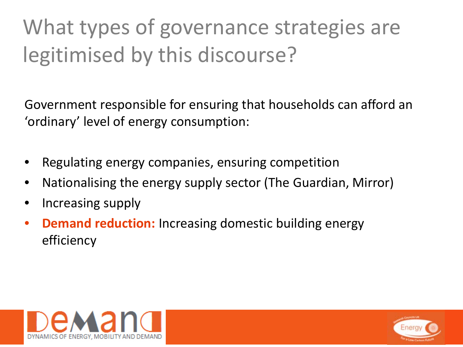# What types of governance strategies are legitimised by this discourse?

Government responsible for ensuring that households can afford an 'ordinary' level of energy consumption:

- Regulating energy companies, ensuring competition
- Nationalising the energy supply sector (The Guardian, Mirror)
- Increasing supply
- **Demand reduction:** Increasing domestic building energy efficiency



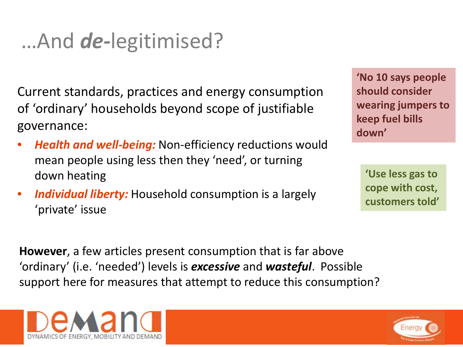### …And *de-*legitimised?

Current standards, practices and energy consumption of 'ordinary' households beyond scope of justifiable governance:

- *Health and well-being:* Non-efficiency reductions would mean people using less then they 'need', or turning down heating
- *Individual liberty:* Household consumption is a largely 'private' issue

**'No 10 says people should consider wearing jumpers to keep fuel bills down'**

**'Use less gas to cope with cost, customers told'**

**However**, a few articles present consumption that is far above 'ordinary' (i.e. 'needed') levels is *excessive* and *wasteful*. Possible support here for measures that attempt to reduce this consumption?



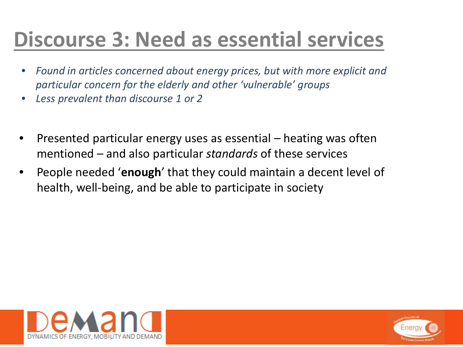### **Discourse 3: Need as essential services**

- *Found in articles concerned about energy prices, but with more explicit and particular concern for the elderly and other 'vulnerable' groups*
- *Less prevalent than discourse 1 or 2*
- Presented particular energy uses as essential heating was often mentioned – and also particular *standards* of these services
- People needed '**enough**' that they could maintain a decent level of health, well-being, and be able to participate in society



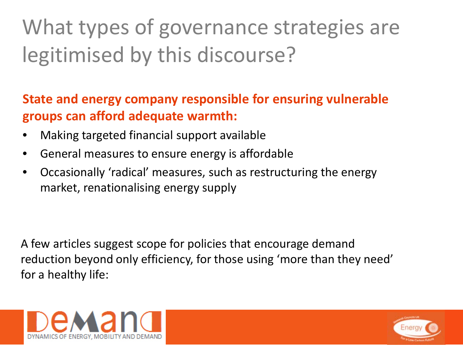# What types of governance strategies are legitimised by this discourse?

**State and energy company responsible for ensuring vulnerable groups can afford adequate warmth:**

- Making targeted financial support available
- General measures to ensure energy is affordable
- Occasionally 'radical' measures, such as restructuring the energy market, renationalising energy supply

A few articles suggest scope for policies that encourage demand reduction beyond only efficiency, for those using 'more than they need' for a healthy life:



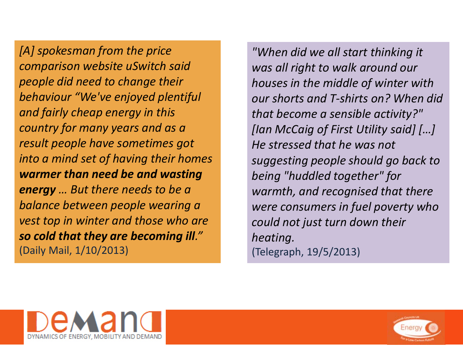*[A] spokesman from the price comparison website uSwitch said people did need to change their behaviour "We've enjoyed plentiful and fairly cheap energy in this country for many years and as a result people have sometimes got into a mind set of having their homes warmer than need be and wasting energy … But there needs to be a balance between people wearing a vest top in winter and those who are so cold that they are becoming ill."* (Daily Mail, 1/10/2013)

*"When did we all start thinking it was all right to walk around our houses in the middle of winter with our shorts and T-shirts on? When did that become a sensible activity?" [Ian McCaig of First Utility said] […] He stressed that he was not suggesting people should go back to being "huddled together" for warmth, and recognised that there were consumers in fuel poverty who could not just turn down their heating.* (Telegraph, 19/5/2013)



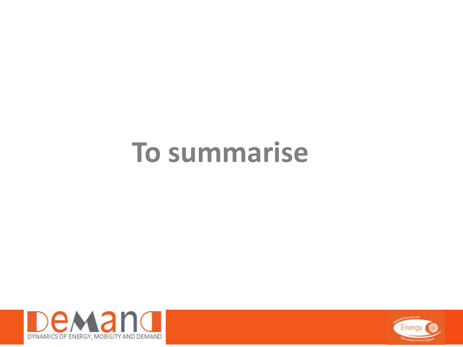# **To summarise**



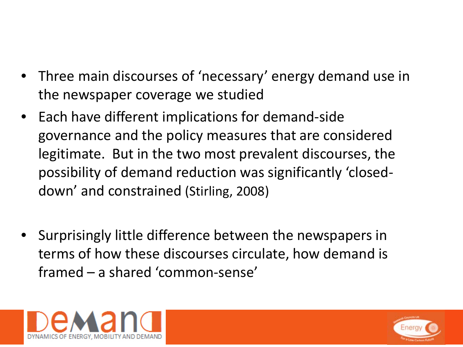- Three main discourses of 'necessary' energy demand use in the newspaper coverage we studied
- Each have different implications for demand-side governance and the policy measures that are considered legitimate. But in the two most prevalent discourses, the possibility of demand reduction was significantly 'closeddown' and constrained (Stirling, 2008)
- Surprisingly little difference between the newspapers in terms of how these discourses circulate, how demand is framed – a shared 'common-sense'



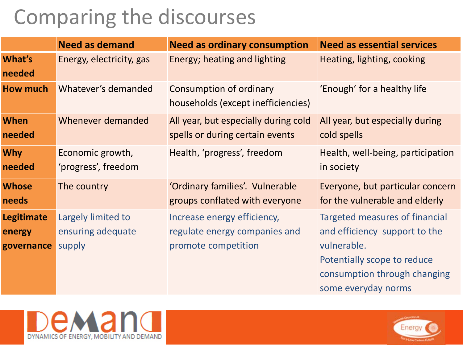### Comparing the discourses

|                                           | <b>Need as demand</b>                             | <b>Need as ordinary consumption</b>                                                 | <b>Need as essential services</b>                                                                                                                                    |
|-------------------------------------------|---------------------------------------------------|-------------------------------------------------------------------------------------|----------------------------------------------------------------------------------------------------------------------------------------------------------------------|
| What's<br>needed                          | Energy, electricity, gas                          | Energy; heating and lighting                                                        | Heating, lighting, cooking                                                                                                                                           |
| <b>How much</b>                           | Whatever's demanded                               | Consumption of ordinary<br>households (except inefficiencies)                       | 'Enough' for a healthy life                                                                                                                                          |
| <b>When</b><br>needed                     | Whenever demanded                                 | All year, but especially during cold<br>spells or during certain events             | All year, but especially during<br>cold spells                                                                                                                       |
| <b>Why</b><br>needed                      | Economic growth,<br>'progress', freedom           | Health, 'progress', freedom                                                         | Health, well-being, participation<br>in society                                                                                                                      |
| <b>Whose</b><br>needs                     | The country                                       | 'Ordinary families'. Vulnerable<br>groups conflated with everyone                   | Everyone, but particular concern<br>for the vulnerable and elderly                                                                                                   |
| <b>Legitimate</b><br>energy<br>governance | Largely limited to<br>ensuring adequate<br>supply | Increase energy efficiency,<br>regulate energy companies and<br>promote competition | Targeted measures of financial<br>and efficiency support to the<br>vulnerable.<br>Potentially scope to reduce<br>consumption through changing<br>some everyday norms |